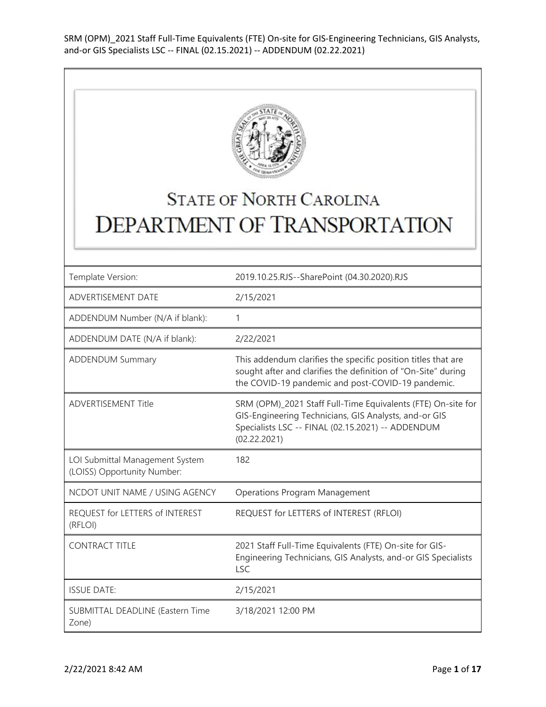

## **STATE OF NORTH CAROLINA DEPARTMENT OF TRANSPORTATION**

| Template Version:                                              | 2019.10.25.RJS--SharePoint (04.30.2020).RJS                                                                                                                                                |
|----------------------------------------------------------------|--------------------------------------------------------------------------------------------------------------------------------------------------------------------------------------------|
| ADVERTISEMENT DATE                                             | 2/15/2021                                                                                                                                                                                  |
| ADDENDUM Number (N/A if blank):                                | 1                                                                                                                                                                                          |
| ADDENDUM DATE (N/A if blank):                                  | 2/22/2021                                                                                                                                                                                  |
| <b>ADDENDUM Summary</b>                                        | This addendum clarifies the specific position titles that are<br>sought after and clarifies the definition of "On-Site" during<br>the COVID-19 pandemic and post-COVID-19 pandemic.        |
| <b>ADVERTISEMENT Title</b>                                     | SRM (OPM)_2021 Staff Full-Time Equivalents (FTE) On-site for<br>GIS-Engineering Technicians, GIS Analysts, and-or GIS<br>Specialists LSC -- FINAL (02.15.2021) -- ADDENDUM<br>(02.22.2021) |
| LOI Submittal Management System<br>(LOISS) Opportunity Number: | 182                                                                                                                                                                                        |
| NCDOT UNIT NAME / USING AGENCY                                 | <b>Operations Program Management</b>                                                                                                                                                       |
| REQUEST for LETTERS of INTEREST<br>(RFLOI)                     | REQUEST for LETTERS of INTEREST (RFLOI)                                                                                                                                                    |
| <b>CONTRACT TITLE</b>                                          |                                                                                                                                                                                            |
|                                                                | 2021 Staff Full-Time Equivalents (FTE) On-site for GIS-<br>Engineering Technicians, GIS Analysts, and-or GIS Specialists<br><b>LSC</b>                                                     |
| <b>ISSUE DATE:</b>                                             | 2/15/2021                                                                                                                                                                                  |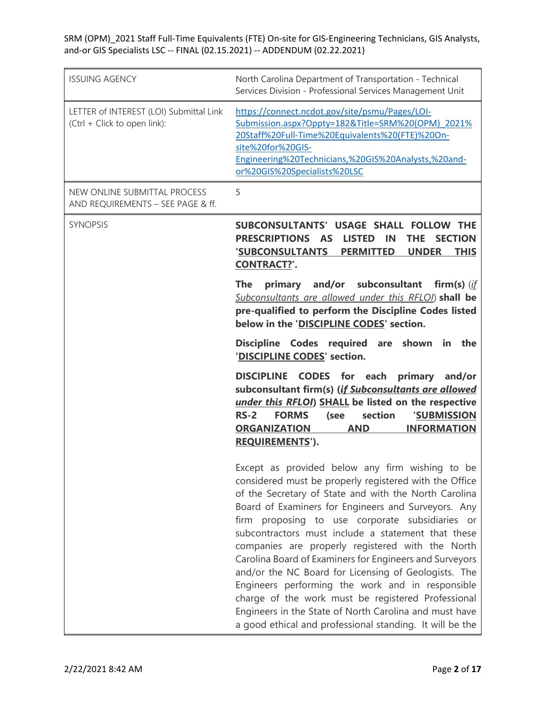| <b>ISSUING AGENCY</b>                                                   | North Carolina Department of Transportation - Technical<br>Services Division - Professional Services Management Unit                                                                                                                                                                                                                                                                                                                                                                                                                                                                                                                                                                                                                      |
|-------------------------------------------------------------------------|-------------------------------------------------------------------------------------------------------------------------------------------------------------------------------------------------------------------------------------------------------------------------------------------------------------------------------------------------------------------------------------------------------------------------------------------------------------------------------------------------------------------------------------------------------------------------------------------------------------------------------------------------------------------------------------------------------------------------------------------|
| LETTER of INTEREST (LOI) Submittal Link<br>(Ctrl + Click to open link): | https://connect.ncdot.gov/site/psmu/Pages/LOI-<br>Submission.aspx?Oppty=182&Title=SRM%20(OPM) 2021%<br>20Staff%20Full-Time%20Equivalents%20(FTE)%20On-<br>site%20for%20GIS-<br>Engineering%20Technicians,%20GIS%20Analysts,%20and-<br>or%20GIS%20Specialists%20LSC                                                                                                                                                                                                                                                                                                                                                                                                                                                                        |
| NEW ONLINE SUBMITTAL PROCESS<br>AND REQUIREMENTS - SEE PAGE & ff.       | 5                                                                                                                                                                                                                                                                                                                                                                                                                                                                                                                                                                                                                                                                                                                                         |
| <b>SYNOPSIS</b>                                                         | SUBCONSULTANTS' USAGE SHALL FOLLOW THE<br>PRESCRIPTIONS AS<br><b>LISTED</b><br><b>THE</b><br><b>SECTION</b><br><b>IN</b><br>'SUBCONSULTANTS<br><b>PERMITTED</b><br><b>UNDER</b><br><b>THIS</b><br><b>CONTRACT?'.</b>                                                                                                                                                                                                                                                                                                                                                                                                                                                                                                                      |
|                                                                         | and/or subconsultant<br><b>The</b><br>firm(s) $(if)$<br>primary<br>Subconsultants are allowed under this RFLOI) shall be<br>pre-qualified to perform the Discipline Codes listed<br>below in the 'DISCIPLINE CODES' section.                                                                                                                                                                                                                                                                                                                                                                                                                                                                                                              |
|                                                                         | Discipline Codes required are shown in the<br>'DISCIPLINE CODES' section.                                                                                                                                                                                                                                                                                                                                                                                                                                                                                                                                                                                                                                                                 |
|                                                                         | DISCIPLINE CODES for each<br>primary and/or<br>subconsultant firm(s) (if Subconsultants are allowed<br>under this RFLOI) SHALL be listed on the respective<br>$RS-2$<br><b>FORMS</b><br>section<br>'SUBMISSION<br>(see<br><b>ORGANIZATION</b><br><b>AND</b><br><b>INFORMATION</b><br><b>REQUIREMENTS').</b>                                                                                                                                                                                                                                                                                                                                                                                                                               |
|                                                                         | Except as provided below any firm wishing to be<br>considered must be properly registered with the Office<br>of the Secretary of State and with the North Carolina<br>Board of Examiners for Engineers and Surveyors. Any<br>firm proposing to use corporate subsidiaries or<br>subcontractors must include a statement that these<br>companies are properly registered with the North<br>Carolina Board of Examiners for Engineers and Surveyors<br>and/or the NC Board for Licensing of Geologists. The<br>Engineers performing the work and in responsible<br>charge of the work must be registered Professional<br>Engineers in the State of North Carolina and must have<br>a good ethical and professional standing. It will be the |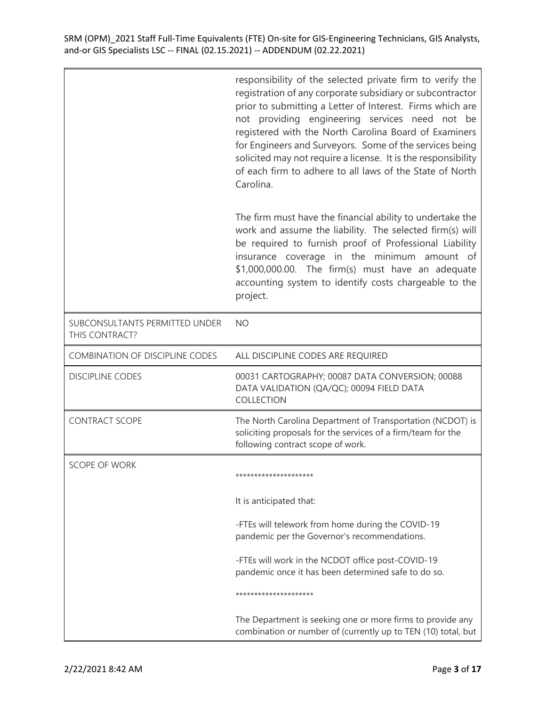|                                                  | responsibility of the selected private firm to verify the<br>registration of any corporate subsidiary or subcontractor<br>prior to submitting a Letter of Interest. Firms which are<br>not providing engineering services need not be<br>registered with the North Carolina Board of Examiners<br>for Engineers and Surveyors. Some of the services being<br>solicited may not require a license. It is the responsibility<br>of each firm to adhere to all laws of the State of North<br>Carolina. |
|--------------------------------------------------|-----------------------------------------------------------------------------------------------------------------------------------------------------------------------------------------------------------------------------------------------------------------------------------------------------------------------------------------------------------------------------------------------------------------------------------------------------------------------------------------------------|
|                                                  | The firm must have the financial ability to undertake the<br>work and assume the liability. The selected firm(s) will<br>be required to furnish proof of Professional Liability<br>insurance coverage in the minimum amount of<br>\$1,000,000.00. The firm(s) must have an adequate<br>accounting system to identify costs chargeable to the<br>project.                                                                                                                                            |
| SUBCONSULTANTS PERMITTED UNDER<br>THIS CONTRACT? | <b>NO</b>                                                                                                                                                                                                                                                                                                                                                                                                                                                                                           |
| <b>COMBINATION OF DISCIPLINE CODES</b>           | ALL DISCIPLINE CODES ARE REQUIRED                                                                                                                                                                                                                                                                                                                                                                                                                                                                   |
| <b>DISCIPLINE CODES</b>                          | 00031 CARTOGRAPHY; 00087 DATA CONVERSION; 00088<br>DATA VALIDATION (QA/QC); 00094 FIELD DATA<br>COLLECTION                                                                                                                                                                                                                                                                                                                                                                                          |
| <b>CONTRACT SCOPE</b>                            | The North Carolina Department of Transportation (NCDOT) is<br>soliciting proposals for the services of a firm/team for the<br>following contract scope of work.                                                                                                                                                                                                                                                                                                                                     |
| <b>SCOPE OF WORK</b>                             | *********************                                                                                                                                                                                                                                                                                                                                                                                                                                                                               |
|                                                  | It is anticipated that:                                                                                                                                                                                                                                                                                                                                                                                                                                                                             |
|                                                  | -FTEs will telework from home during the COVID-19<br>pandemic per the Governor's recommendations.                                                                                                                                                                                                                                                                                                                                                                                                   |
|                                                  | -FTEs will work in the NCDOT office post-COVID-19<br>pandemic once it has been determined safe to do so.                                                                                                                                                                                                                                                                                                                                                                                            |
|                                                  | *********************                                                                                                                                                                                                                                                                                                                                                                                                                                                                               |
|                                                  | The Department is seeking one or more firms to provide any<br>combination or number of (currently up to TEN (10) total, but                                                                                                                                                                                                                                                                                                                                                                         |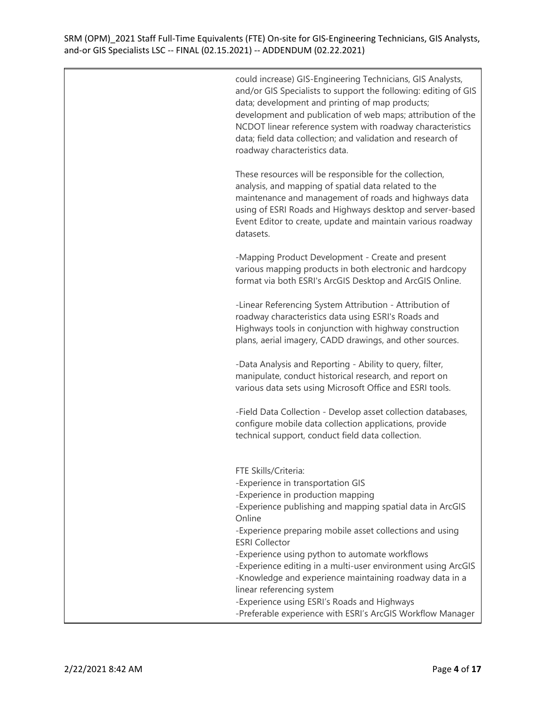| could increase) GIS-Engineering Technicians, GIS Analysts,      |
|-----------------------------------------------------------------|
| and/or GIS Specialists to support the following: editing of GIS |
| data; development and printing of map products;                 |
| development and publication of web maps; attribution of the     |
| NCDOT linear reference system with roadway characteristics      |
| data; field data collection; and validation and research of     |
| roadway characteristics data.                                   |

These resources will be responsible for the collection, analysis, and mapping of spatial data related to the maintenance and management of roads and highways data using of ESRI Roads and Highways desktop and server-based Event Editor to create, update and maintain various roadway datasets.

-Mapping Product Development - Create and present various mapping products in both electronic and hardcopy format via both ESRI's ArcGIS Desktop and ArcGIS Online.

-Linear Referencing System Attribution - Attribution of roadway characteristics data using ESRI's Roads and Highways tools in conjunction with highway construction plans, aerial imagery, CADD drawings, and other sources.

-Data Analysis and Reporting - Ability to query, filter, manipulate, conduct historical research, and report on various data sets using Microsoft Office and ESRI tools.

-Field Data Collection - Develop asset collection databases, configure mobile data collection applications, provide technical support, conduct field data collection.

FTE Skills/Criteria: -Experience in transportation GIS -Experience in production mapping -Experience publishing and mapping spatial data in ArcGIS Online -Experience preparing mobile asset collections and using ESRI Collector -Experience using python to automate workflows -Experience editing in a multi-user environment using ArcGIS -Knowledge and experience maintaining roadway data in a linear referencing system -Experience using ESRI's Roads and Highways -Preferable experience with ESRI's ArcGIS Workflow Manager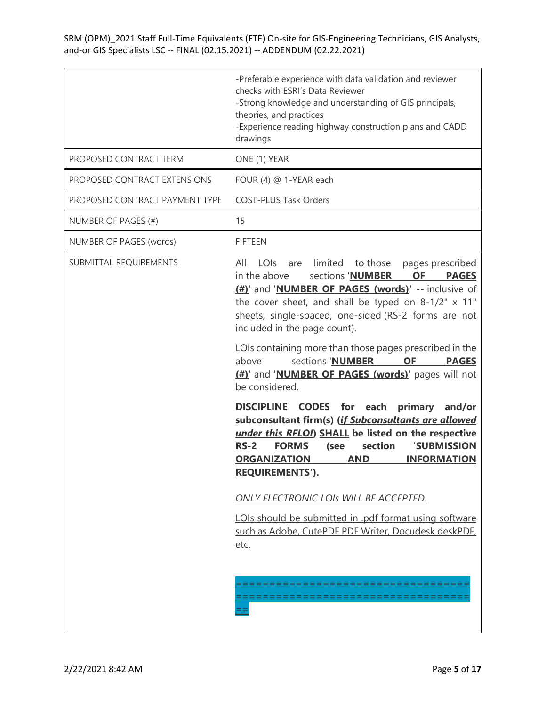|                                | -Preferable experience with data validation and reviewer<br>checks with ESRI's Data Reviewer<br>-Strong knowledge and understanding of GIS principals,<br>theories, and practices<br>-Experience reading highway construction plans and CADD<br>drawings                                                                            |
|--------------------------------|-------------------------------------------------------------------------------------------------------------------------------------------------------------------------------------------------------------------------------------------------------------------------------------------------------------------------------------|
| PROPOSED CONTRACT TERM         | ONE (1) YEAR                                                                                                                                                                                                                                                                                                                        |
| PROPOSED CONTRACT EXTENSIONS   | FOUR (4) @ 1-YEAR each                                                                                                                                                                                                                                                                                                              |
| PROPOSED CONTRACT PAYMENT TYPE | <b>COST-PLUS Task Orders</b>                                                                                                                                                                                                                                                                                                        |
| NUMBER OF PAGES (#)            | 15                                                                                                                                                                                                                                                                                                                                  |
| NUMBER OF PAGES (words)        | <b>FIFTEEN</b>                                                                                                                                                                                                                                                                                                                      |
| SUBMITTAL REQUIREMENTS         | limited<br>All<br>LOIS<br>to those<br>pages prescribed<br>are<br>in the above<br>sections 'NUMBER<br><b>OF</b><br><b>PAGES</b><br>(#)' and 'NUMBER OF PAGES (words)' -- inclusive of<br>the cover sheet, and shall be typed on 8-1/2" x 11"<br>sheets, single-spaced, one-sided (RS-2 forms are not<br>included in the page count). |
|                                | LOIs containing more than those pages prescribed in the<br>sections 'NUMBER<br><b>OF</b><br>above<br><b>PAGES</b><br>(#)' and 'NUMBER OF PAGES (words)' pages will not<br>be considered.                                                                                                                                            |
|                                | DISCIPLINE CODES for each<br>primary and/or<br>subconsultant firm(s) (if Subconsultants are allowed<br>under this RFLOI) SHALL be listed on the respective<br>$RS-2$<br><b>FORMS</b><br>section<br>'SUBMISSION<br>(see<br><b>ORGANIZATION</b><br><b>AND</b><br><b>INFORMATION</b><br><b>REQUIREMENTS').</b>                         |
|                                | ONLY ELECTRONIC LOIS WILL BE ACCEPTED.                                                                                                                                                                                                                                                                                              |
|                                | LOIs should be submitted in .pdf format using software<br>such as Adobe, CutePDF PDF Writer, Docudesk deskPDF,<br>etc.                                                                                                                                                                                                              |
|                                |                                                                                                                                                                                                                                                                                                                                     |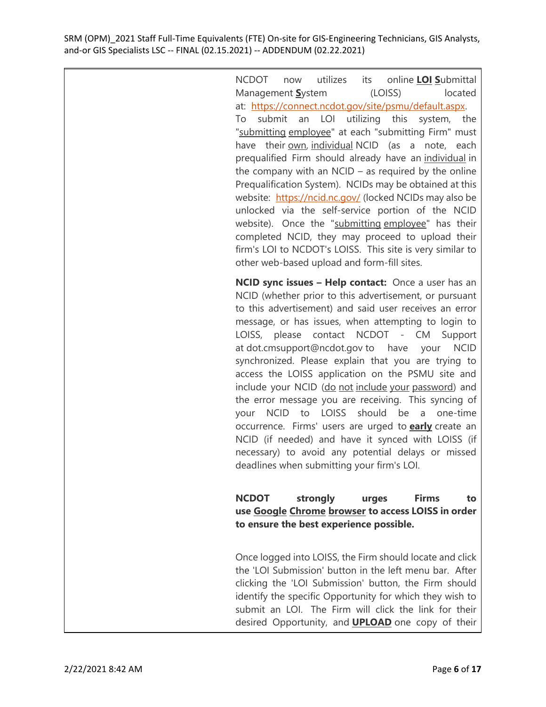> NCDOT now utilizes its online **LOI S**ubmittal Management **S**ystem (LOISS) located at: [https://connect.ncdot.gov/site/psmu/default.aspx.](https://connect.ncdot.gov/site/psmu/default.aspx) To submit an LOI utilizing this system, the "submitting employee" at each "submitting Firm" must have their own, individual NCID (as a note, each prequalified Firm should already have an individual in the company with an  $NCID -$  as required by the online Prequalification System). NCIDs may be obtained at this website: <https://ncid.nc.gov/> (locked NCIDs may also be unlocked via the self-service portion of the NCID website). Once the "submitting employee" has their completed NCID, they may proceed to upload their firm's LOI to NCDOT's LOISS. This site is very similar to other web-based upload and form-fill sites.

> **NCID sync issues – Help contact:** Once a user has an NCID (whether prior to this advertisement, or pursuant to this advertisement) and said user receives an error message, or has issues, when attempting to login to LOISS, please contact NCDOT - CM Support at dot.cmsupport@ncdot.gov to have your NCID synchronized. Please explain that you are trying to access the LOISS application on the PSMU site and include your NCID (do not include your password) and the error message you are receiving. This syncing of your NCID to LOISS should be a one-time occurrence. Firms' users are urged to **early** create an NCID (if needed) and have it synced with LOISS (if necessary) to avoid any potential delays or missed deadlines when submitting your firm's LOI.

> **NCDOT strongly urges Firms to use Google Chrome browser to access LOISS in order to ensure the best experience possible.**

> Once logged into LOISS, the Firm should locate and click the 'LOI Submission' button in the left menu bar. After clicking the 'LOI Submission' button, the Firm should identify the specific Opportunity for which they wish to submit an LOI. The Firm will click the link for their desired Opportunity, and **UPLOAD** one copy of their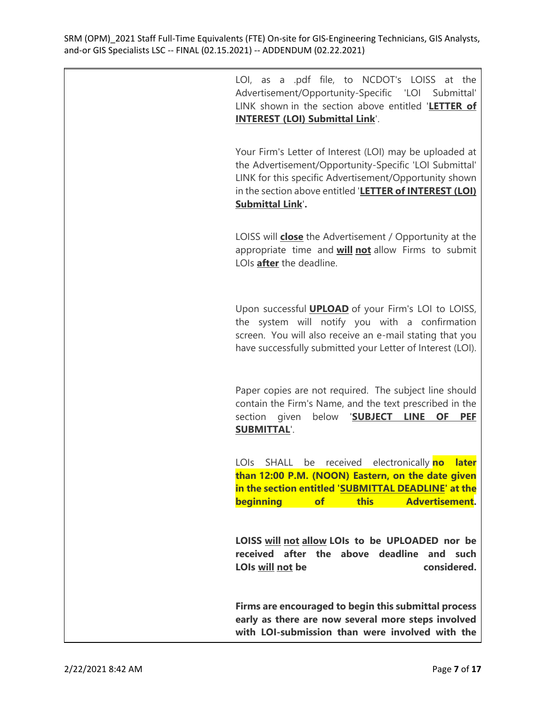> LOI, as a .pdf file, to NCDOT's LOISS at the Advertisement/Opportunity-Specific 'LOI Submittal' LINK shown in the section above entitled '**LETTER of INTEREST (LOI) Submittal Link**'.

> Your Firm's Letter of Interest (LOI) may be uploaded at the Advertisement/Opportunity-Specific 'LOI Submittal' LINK for this specific Advertisement/Opportunity shown in the section above entitled '**LETTER of INTEREST (LOI) Submittal Link**'**.**

> LOISS will **close** the Advertisement / Opportunity at the appropriate time and **will not** allow Firms to submit LOIs **after** the deadline.

> Upon successful **UPLOAD** of your Firm's LOI to LOISS, the system will notify you with a confirmation screen. You will also receive an e-mail stating that you have successfully submitted your Letter of Interest (LOI).

> Paper copies are not required. The subject line should contain the Firm's Name, and the text prescribed in the section given below '**SUBJECT LINE OF PEF SUBMITTAL**'.

> LOIs SHALL be received electronically **no later than 12:00 P.M. (NOON) Eastern, on the date given in the section entitled 'SUBMITTAL DEADLINE' at the beginning of this Advertisement.**

> **LOISS will not allow LOIs to be UPLOADED nor be received after the above deadline and such LOIs will not be considered.**

> **Firms are encouraged to begin this submittal process early as there are now several more steps involved with LOI-submission than were involved with the**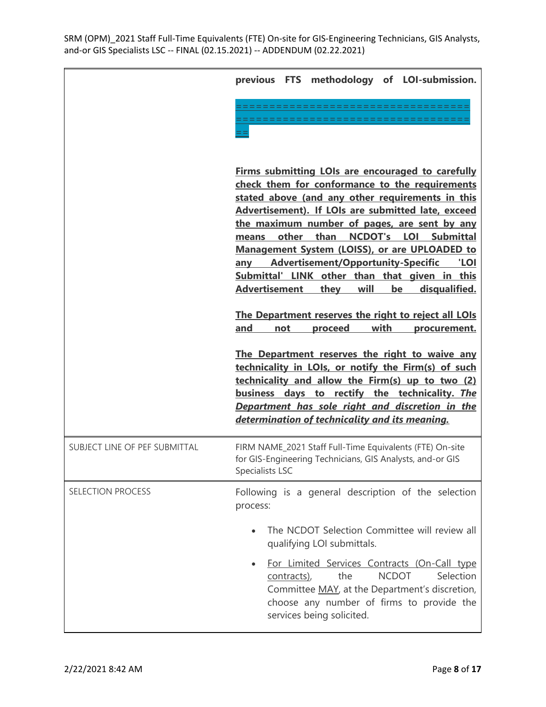|                               | previous FTS methodology of LOI-submission.                                                                                                                                                                                                                                                                                                                                                                                                                                                                                                                                                                                                                |
|-------------------------------|------------------------------------------------------------------------------------------------------------------------------------------------------------------------------------------------------------------------------------------------------------------------------------------------------------------------------------------------------------------------------------------------------------------------------------------------------------------------------------------------------------------------------------------------------------------------------------------------------------------------------------------------------------|
|                               |                                                                                                                                                                                                                                                                                                                                                                                                                                                                                                                                                                                                                                                            |
|                               | <b>Firms submitting LOIs are encouraged to carefully</b><br>check them for conformance to the requirements<br>stated above (and any other requirements in this<br>Advertisement). If LOIs are submitted late, exceed<br>the maximum number of pages, are sent by any<br>other than<br>NCDOT's LOI Submittal<br>means<br>Management System (LOISS), or are UPLOADED to<br><b>Advertisement/Opportunity-Specific</b><br>'LOI<br>any<br>Submittal' LINK other than that given in this<br><b>Advertisement</b><br>disqualified.<br>they<br>will<br>be<br>The Department reserves the right to reject all LOIs<br>with<br>and<br>proceed<br>not<br>procurement. |
|                               | The Department reserves the right to waive any<br>technicality in LOIs, or notify the Firm(s) of such<br>technicality and allow the Firm(s) up to two (2)<br>business days to rectify the technicality. The<br>Department has sole right and discretion in the<br>determination of technicality and its meaning.                                                                                                                                                                                                                                                                                                                                           |
| SUBJECT LINE OF PEF SUBMITTAL | FIRM NAME_2021 Staff Full-Time Equivalents (FTE) On-site<br>for GIS-Engineering Technicians, GIS Analysts, and-or GIS<br>Specialists LSC                                                                                                                                                                                                                                                                                                                                                                                                                                                                                                                   |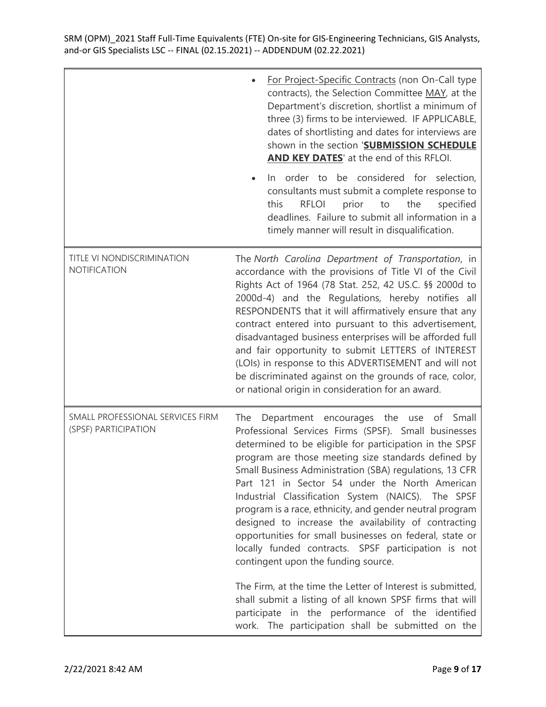|                                                          | For Project-Specific Contracts (non On-Call type<br>contracts), the Selection Committee MAY, at the<br>Department's discretion, shortlist a minimum of<br>three (3) firms to be interviewed. IF APPLICABLE,<br>dates of shortlisting and dates for interviews are<br>shown in the section 'SUBMISSION SCHEDULE<br><b>AND KEY DATES'</b> at the end of this RFLOI.<br>In order to be considered for selection,<br>consultants must submit a complete response to<br>this<br><b>RFLOI</b><br>prior<br>to<br>the<br>specified<br>deadlines. Failure to submit all information in a<br>timely manner will result in disqualification.                                                                                                                                                                                                                                                                             |
|----------------------------------------------------------|---------------------------------------------------------------------------------------------------------------------------------------------------------------------------------------------------------------------------------------------------------------------------------------------------------------------------------------------------------------------------------------------------------------------------------------------------------------------------------------------------------------------------------------------------------------------------------------------------------------------------------------------------------------------------------------------------------------------------------------------------------------------------------------------------------------------------------------------------------------------------------------------------------------|
| TITLE VI NONDISCRIMINATION<br>NOTIFICATION               | The North Carolina Department of Transportation, in<br>accordance with the provisions of Title VI of the Civil<br>Rights Act of 1964 (78 Stat. 252, 42 US.C. §§ 2000d to<br>2000d-4) and the Regulations, hereby notifies all<br>RESPONDENTS that it will affirmatively ensure that any<br>contract entered into pursuant to this advertisement,<br>disadvantaged business enterprises will be afforded full<br>and fair opportunity to submit LETTERS of INTEREST<br>(LOIs) in response to this ADVERTISEMENT and will not<br>be discriminated against on the grounds of race, color,<br>or national origin in consideration for an award.                                                                                                                                                                                                                                                                   |
| SMALL PROFESSIONAL SERVICES FIRM<br>(SPSF) PARTICIPATION | Department encourages the use of<br>The<br>Small<br>Professional Services Firms (SPSF). Small businesses<br>determined to be eligible for participation in the SPSF<br>program are those meeting size standards defined by<br>Small Business Administration (SBA) regulations, 13 CFR<br>Part 121 in Sector 54 under the North American<br>Industrial Classification System (NAICS). The SPSF<br>program is a race, ethnicity, and gender neutral program<br>designed to increase the availability of contracting<br>opportunities for small businesses on federal, state or<br>locally funded contracts. SPSF participation is not<br>contingent upon the funding source.<br>The Firm, at the time the Letter of Interest is submitted,<br>shall submit a listing of all known SPSF firms that will<br>participate in the performance of the identified<br>work. The participation shall be submitted on the |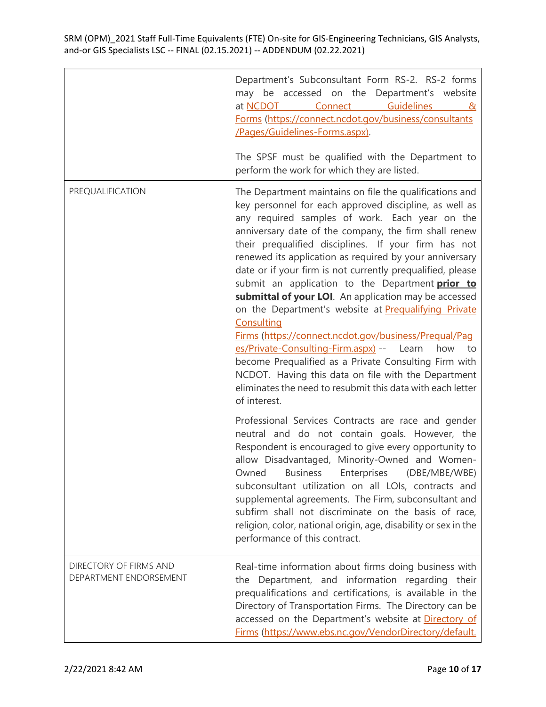|                                                  | Department's Subconsultant Form RS-2. RS-2 forms<br>may be accessed on the Department's website<br>Connect Guidelines<br>at NCDOT<br>&<br>Forms (https://connect.ncdot.gov/business/consultants<br>/Pages/Guidelines-Forms.aspx).                                                                                                                                                                                                                                                                                                                                                                                                                                                                                                                                                                                                                                                                                 |
|--------------------------------------------------|-------------------------------------------------------------------------------------------------------------------------------------------------------------------------------------------------------------------------------------------------------------------------------------------------------------------------------------------------------------------------------------------------------------------------------------------------------------------------------------------------------------------------------------------------------------------------------------------------------------------------------------------------------------------------------------------------------------------------------------------------------------------------------------------------------------------------------------------------------------------------------------------------------------------|
|                                                  | The SPSF must be qualified with the Department to<br>perform the work for which they are listed.                                                                                                                                                                                                                                                                                                                                                                                                                                                                                                                                                                                                                                                                                                                                                                                                                  |
| PREQUALIFICATION                                 | The Department maintains on file the qualifications and<br>key personnel for each approved discipline, as well as<br>any required samples of work. Each year on the<br>anniversary date of the company, the firm shall renew<br>their prequalified disciplines. If your firm has not<br>renewed its application as required by your anniversary<br>date or if your firm is not currently prequalified, please<br>submit an application to the Department prior to<br>submittal of your LOI. An application may be accessed<br>on the Department's website at Prequalifying Private<br>Consulting<br>Firms (https://connect.ncdot.gov/business/Prequal/Pag<br>es/Private-Consulting-Firm.aspx) -- Learn<br>how<br>to<br>become Prequalified as a Private Consulting Firm with<br>NCDOT. Having this data on file with the Department<br>eliminates the need to resubmit this data with each letter<br>of interest. |
|                                                  | Professional Services Contracts are race and gender<br>neutral and do not contain goals. However, the<br>Respondent is encouraged to give every opportunity to<br>allow Disadvantaged, Minority-Owned and Women-<br>Enterprises<br>(DBE/MBE/WBE)<br><b>Business</b><br>Owned<br>subconsultant utilization on all LOIs, contracts and<br>supplemental agreements. The Firm, subconsultant and<br>subfirm shall not discriminate on the basis of race,<br>religion, color, national origin, age, disability or sex in the<br>performance of this contract.                                                                                                                                                                                                                                                                                                                                                          |
| DIRECTORY OF FIRMS AND<br>DEPARTMENT ENDORSEMENT | Real-time information about firms doing business with<br>the Department, and information regarding their<br>prequalifications and certifications, is available in the<br>Directory of Transportation Firms. The Directory can be<br>accessed on the Department's website at Directory of<br>Firms (https://www.ebs.nc.gov/VendorDirectory/default.                                                                                                                                                                                                                                                                                                                                                                                                                                                                                                                                                                |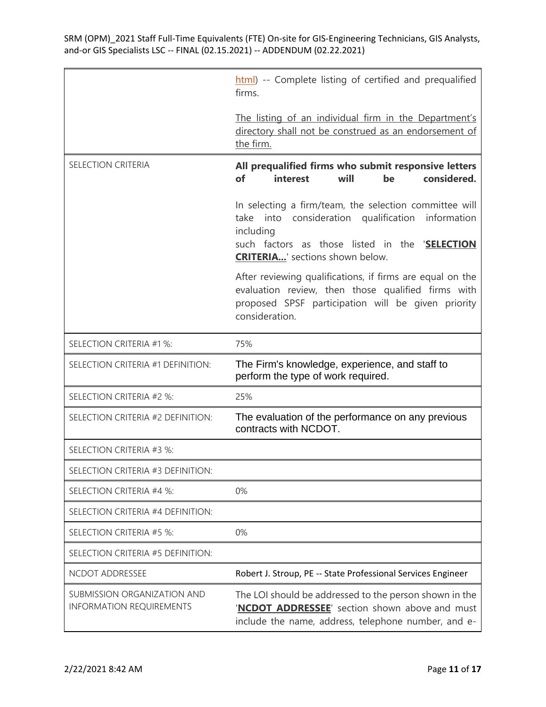|                                                                | html) -- Complete listing of certified and prequalified<br>firms.                                                                                                                                                        |
|----------------------------------------------------------------|--------------------------------------------------------------------------------------------------------------------------------------------------------------------------------------------------------------------------|
|                                                                | The listing of an individual firm in the Department's<br>directory shall not be construed as an endorsement of<br>the firm.                                                                                              |
| SELECTION CRITERIA                                             | All prequalified firms who submit responsive letters<br>of<br>interest<br>considered.<br>will<br>be                                                                                                                      |
|                                                                | In selecting a firm/team, the selection committee will<br>take into consideration qualification<br>information<br>including<br>such factors as those listed in the 'SELECTION<br><b>CRITERIA</b> ' sections shown below. |
|                                                                | After reviewing qualifications, if firms are equal on the<br>evaluation review, then those qualified firms with<br>proposed SPSF participation will be given priority<br>consideration.                                  |
| SELECTION CRITERIA #1 %:                                       | 75%                                                                                                                                                                                                                      |
| SELECTION CRITERIA #1 DEFINITION:                              | The Firm's knowledge, experience, and staff to<br>perform the type of work required.                                                                                                                                     |
| SELECTION CRITERIA #2 %:                                       | 25%                                                                                                                                                                                                                      |
| SELECTION CRITERIA #2 DEFINITION:                              | The evaluation of the performance on any previous<br>contracts with NCDOT.                                                                                                                                               |
| SELECTION CRITERIA #3 %:                                       |                                                                                                                                                                                                                          |
| SELECTION CRITERIA #3 DEFINITION:                              |                                                                                                                                                                                                                          |
| SELECTION CRITERIA #4 %:                                       | 0%                                                                                                                                                                                                                       |
| SELECTION CRITERIA #4 DEFINITION:                              |                                                                                                                                                                                                                          |
| SELECTION CRITERIA #5 %:                                       | 0%                                                                                                                                                                                                                       |
| SELECTION CRITERIA #5 DEFINITION:                              |                                                                                                                                                                                                                          |
| NCDOT ADDRESSEE                                                | Robert J. Stroup, PE -- State Professional Services Engineer                                                                                                                                                             |
| SUBMISSION ORGANIZATION AND<br><b>INFORMATION REQUIREMENTS</b> | The LOI should be addressed to the person shown in the<br>'NCDOT ADDRESSEE' section shown above and must<br>include the name, address, telephone number, and e-                                                          |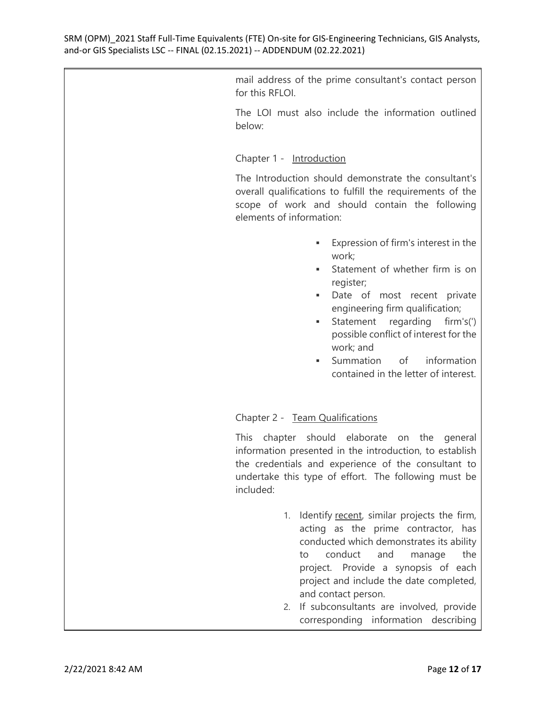mail address of the prime consultant's contact person for this RFLOI.

The LOI must also include the information outlined below:

Chapter 1 - Introduction

The Introduction should demonstrate the consultant's overall qualifications to fulfill the requirements of the scope of work and should contain the following elements of information:

- Expression of firm's interest in the work;
- Statement of whether firm is on register;
- Date of most recent private engineering firm qualification;
- Statement regarding firm's(') possible conflict of interest for the work; and
- Summation of information contained in the letter of interest.

## Chapter 2 - Team Qualifications

This chapter should elaborate on the general information presented in the introduction, to establish the credentials and experience of the consultant to undertake this type of effort. The following must be included:

- 1. Identify recent, similar projects the firm, acting as the prime contractor, has conducted which demonstrates its ability to conduct and manage the project. Provide a synopsis of each project and include the date completed, and contact person.
- 2. If subconsultants are involved, provide corresponding information describing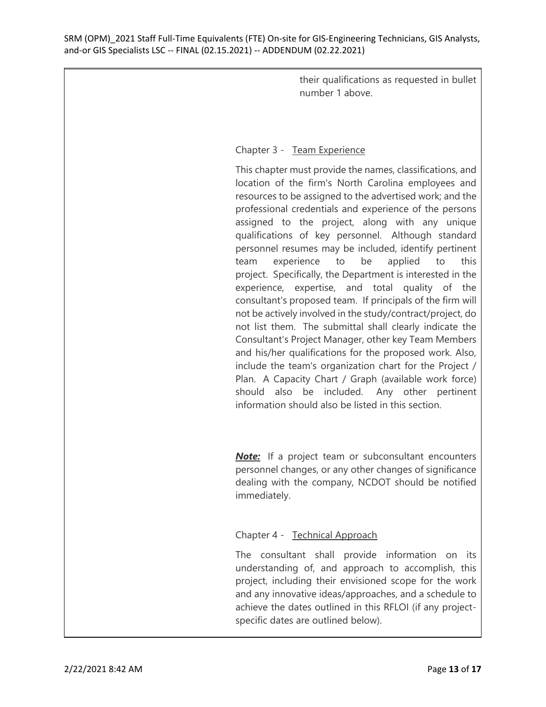their qualifications as requested in bullet number 1 above.

## Chapter 3 - Team Experience

This chapter must provide the names, classifications, and location of the firm's North Carolina employees and resources to be assigned to the advertised work; and the professional credentials and experience of the persons assigned to the project, along with any unique qualifications of key personnel. Although standard personnel resumes may be included, identify pertinent team experience to be applied to this project. Specifically, the Department is interested in the experience, expertise, and total quality of the consultant's proposed team. If principals of the firm will not be actively involved in the study/contract/project, do not list them. The submittal shall clearly indicate the Consultant's Project Manager, other key Team Members and his/her qualifications for the proposed work. Also, include the team's organization chart for the Project / Plan. A Capacity Chart / Graph (available work force) should also be included. Any other pertinent information should also be listed in this section.

**Note:** If a project team or subconsultant encounters personnel changes, or any other changes of significance dealing with the company, NCDOT should be notified immediately.

## Chapter 4 - Technical Approach

The consultant shall provide information on its understanding of, and approach to accomplish, this project, including their envisioned scope for the work and any innovative ideas/approaches, and a schedule to achieve the dates outlined in this RFLOI (if any projectspecific dates are outlined below).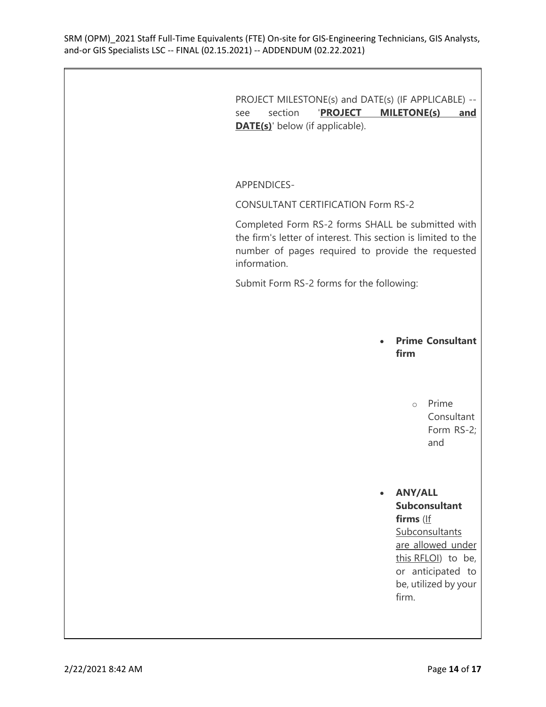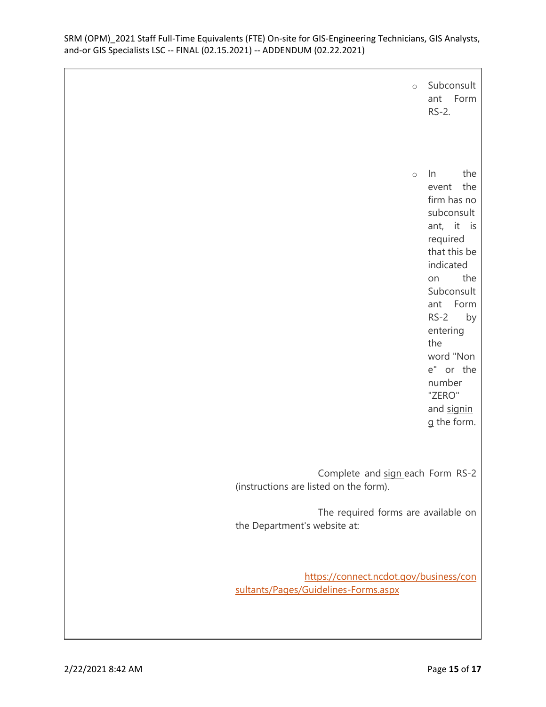| $\circ$                                                                        | Subconsult<br>ant Form<br>$RS-2.$                                                                                                                                                                                                                                        |
|--------------------------------------------------------------------------------|--------------------------------------------------------------------------------------------------------------------------------------------------------------------------------------------------------------------------------------------------------------------------|
| $\circ$                                                                        | $\ln$<br>the<br>the<br>event<br>firm has no<br>subconsult<br>ant, it is<br>required<br>that this be<br>indicated<br>the<br>on<br>Subconsult<br>Form<br>ant<br>$RS-2$<br>by<br>entering<br>the<br>word "Non<br>e" or the<br>number<br>"ZERO"<br>and signin<br>g the form. |
| Complete and sign each Form RS-2<br>(instructions are listed on the form).     |                                                                                                                                                                                                                                                                          |
| The required forms are available on<br>the Department's website at:            |                                                                                                                                                                                                                                                                          |
| https://connect.ncdot.gov/business/con<br>sultants/Pages/Guidelines-Forms.aspx |                                                                                                                                                                                                                                                                          |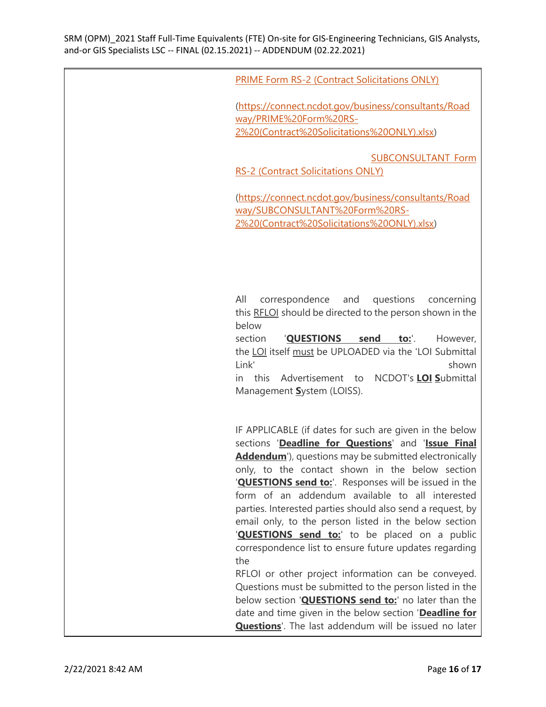|  | <b>PRIME Form RS-2 (Contract Solicitations ONLY)</b> |
|--|------------------------------------------------------|
|--|------------------------------------------------------|

[\(https://connect.ncdot.gov/business/consultants/Road](https://connect.ncdot.gov/business/consultants/Roadway/PRIME%20Form%20RS-2%20%28Contract%20Solicitations%20ONLY%29.xlsx) [way/PRIME%20Form%20RS-](https://connect.ncdot.gov/business/consultants/Roadway/PRIME%20Form%20RS-2%20%28Contract%20Solicitations%20ONLY%29.xlsx)[2%20\(Contract%20Solicitations%20ONLY\).xlsx\)](https://connect.ncdot.gov/business/consultants/Roadway/PRIME%20Form%20RS-2%20%28Contract%20Solicitations%20ONLY%29.xlsx)

[SUBCONSULTANT Form](https://connect.ncdot.gov/business/consultants/Roadway/SUBCONSULTANT%20Form%20RS-2%20%28Contract%20Solicitations%20ONLY%29.xlsx) 

[RS-2 \(Contract Solicitations ONLY\)](https://connect.ncdot.gov/business/consultants/Roadway/SUBCONSULTANT%20Form%20RS-2%20%28Contract%20Solicitations%20ONLY%29.xlsx)

[\(https://connect.ncdot.gov/business/consultants/Road](https://connect.ncdot.gov/business/consultants/Roadway/SUBCONSULTANT%20Form%20RS-2%20%28Contract%20Solicitations%20ONLY%29.xlsx) [way/SUBCONSULTANT%20Form%20RS-](https://connect.ncdot.gov/business/consultants/Roadway/SUBCONSULTANT%20Form%20RS-2%20%28Contract%20Solicitations%20ONLY%29.xlsx)[2%20\(Contract%20Solicitations%20ONLY\).xlsx\)](https://connect.ncdot.gov/business/consultants/Roadway/SUBCONSULTANT%20Form%20RS-2%20%28Contract%20Solicitations%20ONLY%29.xlsx)

All correspondence and questions concerning this RFLOI should be directed to the person shown in the below

section '**QUESTIONS send to:**'. However, the LOI itself must be UPLOADED via the 'LOI Submittal Link' shown

in this Advertisement to NCDOT's **LOI S**ubmittal Management **S**ystem (LOISS).

IF APPLICABLE (if dates for such are given in the below sections '**Deadline for Questions**' and '**Issue Final Addendum**'), questions may be submitted electronically only, to the contact shown in the below section '**QUESTIONS send to:**'. Responses will be issued in the form of an addendum available to all interested parties. Interested parties should also send a request, by email only, to the person listed in the below section '**QUESTIONS** send to:' to be placed on a public correspondence list to ensure future updates regarding the

RFLOI or other project information can be conveyed. Questions must be submitted to the person listed in the below section '**QUESTIONS send to:**' no later than the date and time given in the below section '**Deadline for Questions**'. The last addendum will be issued no later